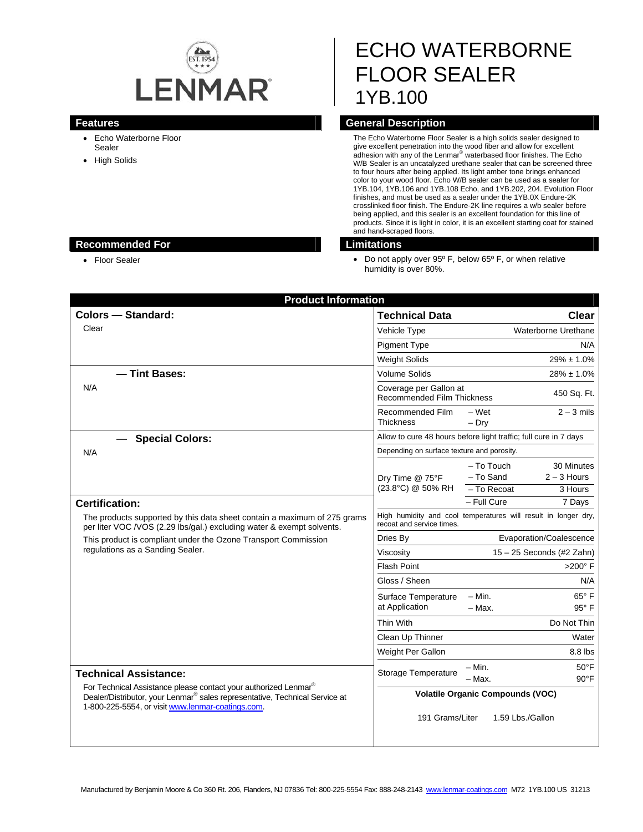

# ECHO WATERBORNE FLOOR SEALER 1YB.100

- Echo Waterborne Floor Sealer
- High Solids

# **Features General Description**

The Echo Waterborne Floor Sealer is a high solids sealer designed to give excellent penetration into the wood fiber and allow for excellent<br>adhesion with any of the Lenmar® waterbased floor finishes. The Echo W/B Sealer is an uncatalyzed urethane sealer that can be screened three to four hours after being applied. Its light amber tone brings enhanced color to your wood floor. Echo W/B sealer can be used as a sealer for 1YB.104, 1YB.106 and 1YB.108 Echo, and 1YB.202, 204. Evolution Floor finishes, and must be used as a sealer under the 1YB.0X Endure-2K crosslinked floor finish. The Endure-2K line requires a w/b sealer before being applied, and this sealer is an excellent foundation for this line of products. Since it is light in color, it is an excellent starting coat for stained and hand-scraped floors.

• Floor Sealer **Do not apply over 95° F**, below 65° F, or when relative humidity is over 80%.

| <b>Product Information</b>                                                                                                                                                                                      |                                                                  |                                                                |                                  |  |
|-----------------------------------------------------------------------------------------------------------------------------------------------------------------------------------------------------------------|------------------------------------------------------------------|----------------------------------------------------------------|----------------------------------|--|
| <b>Colors - Standard:</b>                                                                                                                                                                                       | <b>Technical Data</b>                                            |                                                                | Clear                            |  |
| Clear                                                                                                                                                                                                           | Vehicle Type                                                     | Waterborne Urethane                                            |                                  |  |
|                                                                                                                                                                                                                 | <b>Pigment Type</b>                                              |                                                                | N/A                              |  |
|                                                                                                                                                                                                                 | <b>Weight Solids</b>                                             | $29\% \pm 1.0\%$                                               |                                  |  |
| - Tint Bases:<br>N/A                                                                                                                                                                                            | <b>Volume Solids</b>                                             | $28\% \pm 1.0\%$                                               |                                  |  |
|                                                                                                                                                                                                                 | Coverage per Gallon at<br><b>Recommended Film Thickness</b>      | 450 Sq. Ft.                                                    |                                  |  |
|                                                                                                                                                                                                                 | Recommended Film<br>Thickness                                    | - Wet<br>$-$ Dry                                               | $2 - 3$ mils                     |  |
| <b>Special Colors:</b>                                                                                                                                                                                          | Allow to cure 48 hours before light traffic; full cure in 7 days |                                                                |                                  |  |
| N/A                                                                                                                                                                                                             | Depending on surface texture and porosity.                       |                                                                |                                  |  |
|                                                                                                                                                                                                                 | Dry Time @ 75°F<br>(23.8°C) @ 50% RH                             | - To Touch<br>- To Sand                                        | 30 Minutes<br>$2 - 3$ Hours      |  |
|                                                                                                                                                                                                                 |                                                                  | - To Recoat                                                    | 3 Hours                          |  |
| <b>Certification:</b>                                                                                                                                                                                           |                                                                  | $-$ Full Cure                                                  | 7 Days                           |  |
| The products supported by this data sheet contain a maximum of 275 grams<br>per liter VOC /VOS (2.29 lbs/gal.) excluding water & exempt solvents.                                                               | recoat and service times.                                        | High humidity and cool temperatures will result in longer dry, |                                  |  |
| This product is compliant under the Ozone Transport Commission<br>regulations as a Sanding Sealer.                                                                                                              | Dries By                                                         | Evaporation/Coalescence                                        |                                  |  |
|                                                                                                                                                                                                                 | Viscosity                                                        | $15 - 25$ Seconds (#2 Zahn)                                    |                                  |  |
|                                                                                                                                                                                                                 | <b>Flash Point</b>                                               | $>200^\circ$ F                                                 |                                  |  |
|                                                                                                                                                                                                                 | Gloss / Sheen                                                    |                                                                | N/A                              |  |
|                                                                                                                                                                                                                 | Surface Temperature<br>at Application                            | – Min.<br>- Max.                                               | 65°F<br>$95^\circ$ F             |  |
|                                                                                                                                                                                                                 | Thin With                                                        |                                                                | Do Not Thin                      |  |
|                                                                                                                                                                                                                 | Clean Up Thinner                                                 |                                                                | Water                            |  |
|                                                                                                                                                                                                                 | Weight Per Gallon                                                |                                                                | 8.8 lbs                          |  |
| <b>Technical Assistance:</b>                                                                                                                                                                                    | Storage Temperature                                              | $- Min.$<br>- Max.                                             | $50^{\circ}$ F<br>$90^{\circ}$ F |  |
| For Technical Assistance please contact your authorized Lenmar®<br>Dealer/Distributor, your Lenmar <sup>®</sup> sales representative, Technical Service at<br>1-800-225-5554, or visit www.lenmar-coatings.com. | 191 Grams/Liter                                                  | <b>Volatile Organic Compounds (VOC)</b><br>1.59 Lbs./Gallon    |                                  |  |

### **Recommended For Limitations**